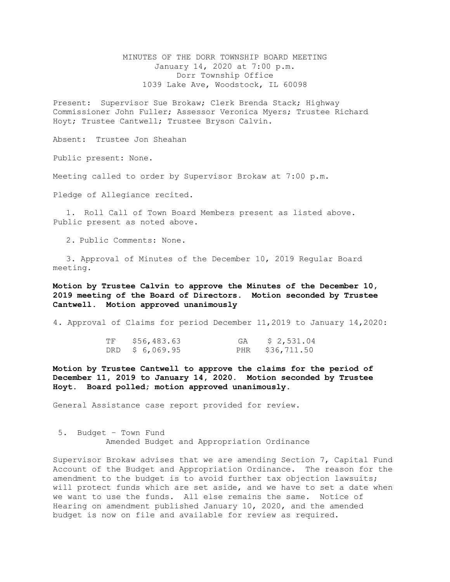MINUTES OF THE DORR TOWNSHIP BOARD MEETING January 14, 2020 at 7:00 p.m. Dorr Township Office 1039 Lake Ave, Woodstock, IL 60098

Present: Supervisor Sue Brokaw; Clerk Brenda Stack; Highway Commissioner John Fuller; Assessor Veronica Myers; Trustee Richard Hoyt; Trustee Cantwell; Trustee Bryson Calvin.

Absent: Trustee Jon Sheahan

Public present: None.

Meeting called to order by Supervisor Brokaw at 7:00 p.m.

Pledge of Allegiance recited.

1. Roll Call of Town Board Members present as listed above. Public present as noted above.

2. Public Comments: None.

3. Approval of Minutes of the December 10, 2019 Regular Board meeting.

**Motion by Trustee Calvin to approve the Minutes of the December 10, 2019 meeting of the Board of Directors. Motion seconded by Trustee Cantwell. Motion approved unanimously**

4. Approval of Claims for period December 11,2019 to January 14,2020:

| TF | \$56,483.63     | GA | \$2,531.04      |
|----|-----------------|----|-----------------|
|    | DRD \$ 6,069.95 |    | PHR \$36,711.50 |

**Motion by Trustee Cantwell to approve the claims for the period of December 11, 2019 to January 14, 2020. Motion seconded by Trustee Hoyt. Board polled; motion approved unanimously.**

General Assistance case report provided for review.

5. Budget – Town Fund Amended Budget and Appropriation Ordinance

Supervisor Brokaw advises that we are amending Section 7, Capital Fund Account of the Budget and Appropriation Ordinance. The reason for the amendment to the budget is to avoid further tax objection lawsuits; will protect funds which are set aside, and we have to set a date when we want to use the funds. All else remains the same. Notice of Hearing on amendment published January 10, 2020, and the amended budget is now on file and available for review as required.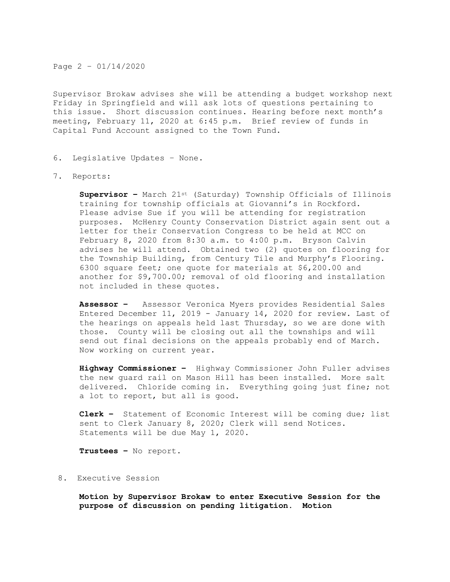Page 2 – 01/14/2020

Supervisor Brokaw advises she will be attending a budget workshop next Friday in Springfield and will ask lots of questions pertaining to this issue. Short discussion continues. Hearing before next month's meeting, February 11, 2020 at 6:45 p.m. Brief review of funds in Capital Fund Account assigned to the Town Fund.

- 6. Legislative Updates None.
- 7. Reports:

**Supervisor –** March 21st (Saturday) Township Officials of Illinois training for township officials at Giovanni's in Rockford. Please advise Sue if you will be attending for registration purposes. McHenry County Conservation District again sent out a letter for their Conservation Congress to be held at MCC on February 8, 2020 from 8:30 a.m. to 4:00 p.m. Bryson Calvin advises he will attend. Obtained two (2) quotes on flooring for the Township Building, from Century Tile and Murphy's Flooring. 6300 square feet; one quote for materials at \$6,200.00 and another for \$9,700.00; removal of old flooring and installation not included in these quotes.

**Assessor –** Assessor Veronica Myers provides Residential Sales Entered December 11, 2019 - January 14, 2020 for review. Last of the hearings on appeals held last Thursday, so we are done with those. County will be closing out all the townships and will send out final decisions on the appeals probably end of March. Now working on current year.

**Highway Commissioner –** Highway Commissioner John Fuller advises the new guard rail on Mason Hill has been installed. More salt delivered. Chloride coming in. Everything going just fine; not a lot to report, but all is good.

**Clerk –** Statement of Economic Interest will be coming due; list sent to Clerk January 8, 2020; Clerk will send Notices. Statements will be due May 1, 2020.

**Trustees –** No report.

8. Executive Session

**Motion by Supervisor Brokaw to enter Executive Session for the purpose of discussion on pending litigation. Motion**